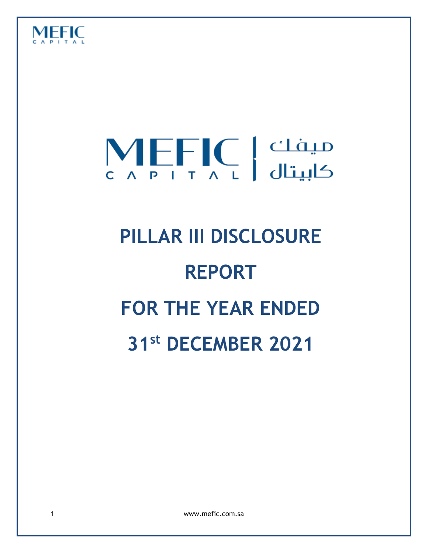

# $\left[\bigvee_{\substack{c}}\substack{c\to\infty\pmod{r}}$  کابیتال

## **PILLAR III DISCLOSURE REPORT FOR THE YEAR ENDED 31st DECEMBER 2021**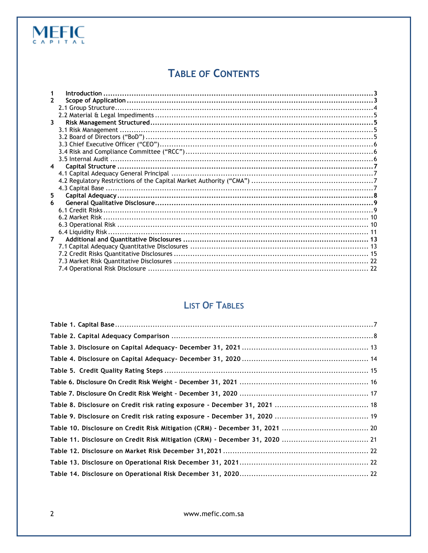#### **TABLE OF CONTENTS**

| 2           |  |
|-------------|--|
|             |  |
|             |  |
| 3           |  |
|             |  |
|             |  |
|             |  |
|             |  |
|             |  |
| 4           |  |
|             |  |
|             |  |
|             |  |
| 5.          |  |
| 6           |  |
|             |  |
|             |  |
|             |  |
|             |  |
| $7^{\circ}$ |  |
|             |  |
|             |  |
|             |  |
|             |  |
|             |  |

#### **LIST OF TABLES**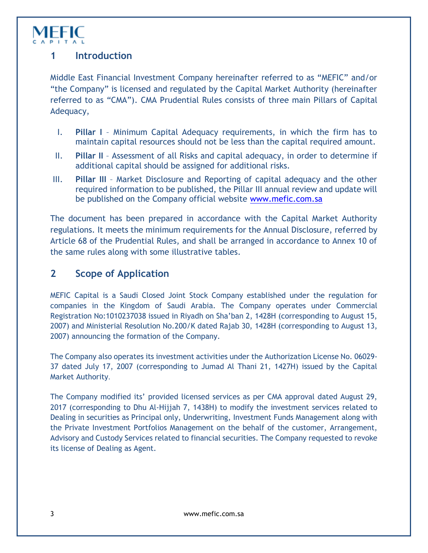

#### <span id="page-2-0"></span>**1 Introduction**

Middle East Financial Investment Company hereinafter referred to as "MEFIC" and/or "the Company" is licensed and regulated by the Capital Market Authority (hereinafter referred to as "CMA"). CMA Prudential Rules consists of three main Pillars of Capital Adequacy,

- I. **Pillar I** Minimum Capital Adequacy requirements, in which the firm has to maintain capital resources should not be less than the capital required amount.
- II. **Pillar II** Assessment of all Risks and capital adequacy, in order to determine if additional capital should be assigned for additional risks.
- III. **Pillar III** Market Disclosure and Reporting of capital adequacy and the other required information to be published, the Pillar III annual review and update will be published on the Company official website [www.mefic.com.sa](http://www.mefic.com.sa/)

The document has been prepared in accordance with the Capital Market Authority regulations. It meets the minimum requirements for the Annual Disclosure, referred by Article 68 of the Prudential Rules, and shall be arranged in accordance to Annex 10 of the same rules along with some illustrative tables.

#### <span id="page-2-1"></span>**2 Scope of Application**

MEFIC Capital is a Saudi Closed Joint Stock Company established under the regulation for companies in the Kingdom of Saudi Arabia. The Company operates under Commercial Registration No:1010237038 issued in Riyadh on Sha'ban 2, 1428H (corresponding to August 15, 2007) and Ministerial Resolution No.200/K dated Rajab 30, 1428H (corresponding to August 13, 2007) announcing the formation of the Company.

The Company also operates its investment activities under the Authorization License No. 06029- 37 dated July 17, 2007 (corresponding to Jumad Al Thani 21, 1427H) issued by the Capital Market Authority.

The Company modified its' provided licensed services as per CMA approval dated August 29, 2017 (corresponding to Dhu Al-Hijjah 7, 1438H) to modify the investment services related to Dealing in securities as Principal only, Underwriting, Investment Funds Management along with the Private Investment Portfolios Management on the behalf of the customer, Arrangement, Advisory and Custody Services related to financial securities. The Company requested to revoke its license of Dealing as Agent.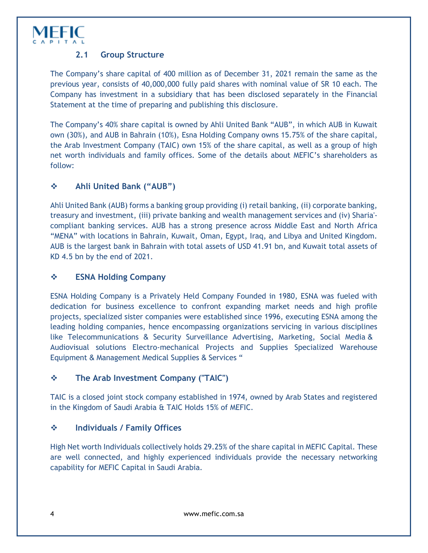

#### **2.1 Group Structure**

<span id="page-3-0"></span>The Company's share capital of 400 million as of December 31, 2021 remain the same as the previous year, consists of 40,000,000 fully paid shares with nominal value of SR 10 each. The Company has investment in a subsidiary that has been disclosed separately in the Financial Statement at the time of preparing and publishing this disclosure.

The Company's 40% share capital is owned by Ahli United Bank "AUB", in which AUB in Kuwait own (30%), and AUB in Bahrain (10%), Esna Holding Company owns 15.75% of the share capital, the Arab Investment Company (TAIC) own 15% of the share capital, as well as a group of high net worth individuals and family offices. Some of the details about MEFIC's shareholders as follow:

#### **Ahli United Bank ("AUB")**

Ahli United Bank (AUB) forms a banking group providing (i) retail banking, (ii) corporate banking, treasury and investment, (iii) private banking and wealth management services and (iv) Sharia' compliant banking services. AUB has a strong presence across Middle East and North Africa "MENA" with locations in Bahrain, Kuwait, Oman, Egypt, Iraq, and Libya and United Kingdom. AUB is the largest bank in Bahrain with total assets of USD 41.91 bn, and Kuwait total assets of KD 4.5 bn by the end of 2021.

#### **ESNA Holding Company**

ESNA Holding Company is a Privately Held Company Founded in 1980, ESNA was fueled with dedication for business excellence to confront expanding market needs and high profile projects, specialized sister companies were established since 1996, executing ESNA among the leading holding companies, hence encompassing organizations servicing in various disciplines like Telecommunications & Security Surveillance Advertising, Marketing, Social Media & Audiovisual solutions Electro-mechanical Projects and Supplies Specialized Warehouse Equipment & Management Medical Supplies & Services "

#### **The Arab Investment Company ("TAIC")**

TAIC is a closed joint stock company established in 1974, owned by Arab States and registered in the Kingdom of Saudi Arabia & TAIC Holds 15% of MEFIC.

#### **Individuals / Family Offices**

High Net worth Individuals collectively holds 29.25% of the share capital in MEFIC Capital. These are well connected, and highly experienced individuals provide the necessary networking capability for MEFIC Capital in Saudi Arabia.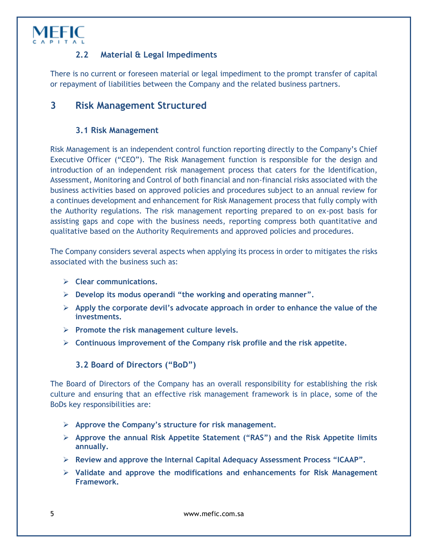

#### **2.2 Material & Legal Impediments**

<span id="page-4-0"></span>There is no current or foreseen material or legal impediment to the prompt transfer of capital or repayment of liabilities between the Company and the related business partners.

#### <span id="page-4-1"></span>**3 Risk Management Structured**

#### **3.1 Risk Management**

<span id="page-4-2"></span>Risk Management is an independent control function reporting directly to the Company's Chief Executive Officer ("CEO"). The Risk Management function is responsible for the design and introduction of an independent risk management process that caters for the Identification, Assessment, Monitoring and Control of both financial and non-financial risks associated with the business activities based on approved policies and procedures subject to an annual review for a continues development and enhancement for Risk Management process that fully comply with the Authority regulations. The risk management reporting prepared to on ex-post basis for assisting gaps and cope with the business needs, reporting compress both quantitative and qualitative based on the Authority Requirements and approved policies and procedures.

The Company considers several aspects when applying its process in order to mitigates the risks associated with the business such as:

- **Clear communications.**
- **Develop its modus operandi "the working and operating manner".**
- **Apply the corporate devil's advocate approach in order to enhance the value of the investments.**
- **Promote the risk management culture levels.**
- <span id="page-4-3"></span>**Continuous improvement of the Company risk profile and the risk appetite.**

#### **3.2 Board of Directors ("BoD")**

The Board of Directors of the Company has an overall responsibility for establishing the risk culture and ensuring that an effective risk management framework is in place, some of the BoDs key responsibilities are:

- **Approve the Company's structure for risk management.**
- **Approve the annual Risk Appetite Statement ("RAS") and the Risk Appetite limits annually.**
- **Review and approve the Internal Capital Adequacy Assessment Process "ICAAP".**
- **Validate and approve the modifications and enhancements for Risk Management Framework.**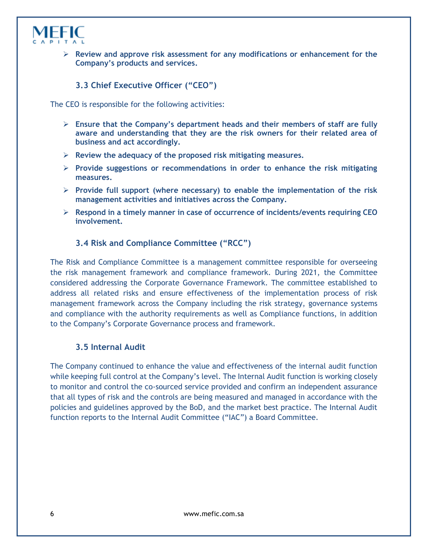

<span id="page-5-0"></span> **Review and approve risk assessment for any modifications or enhancement for the Company's products and services.**

#### **3.3 Chief Executive Officer ("CEO")**

The CEO is responsible for the following activities:

- **Ensure that the Company's department heads and their members of staff are fully aware and understanding that they are the risk owners for their related area of business and act accordingly.**
- **Review the adequacy of the proposed risk mitigating measures.**
- **Provide suggestions or recommendations in order to enhance the risk mitigating measures.**
- **Provide full support (where necessary) to enable the implementation of the risk management activities and initiatives across the Company.**
- <span id="page-5-1"></span> **Respond in a timely manner in case of occurrence of incidents/events requiring CEO involvement.**

#### **3.4 Risk and Compliance Committee ("RCC")**

The Risk and Compliance Committee is a management committee responsible for overseeing the risk management framework and compliance framework. During 2021, the Committee considered addressing the Corporate Governance Framework. The committee established to address all related risks and ensure effectiveness of the implementation process of risk management framework across the Company including the risk strategy, governance systems and compliance with the authority requirements as well as Compliance functions, in addition to the Company's Corporate Governance process and framework.

#### **3.5 Internal Audit**

<span id="page-5-2"></span>The Company continued to enhance the value and effectiveness of the internal audit function while keeping full control at the Company's level. The Internal Audit function is working closely to monitor and control the co-sourced service provided and confirm an independent assurance that all types of risk and the controls are being measured and managed in accordance with the policies and guidelines approved by the BoD, and the market best practice. The Internal Audit function reports to the Internal Audit Committee ("IAC") a Board Committee.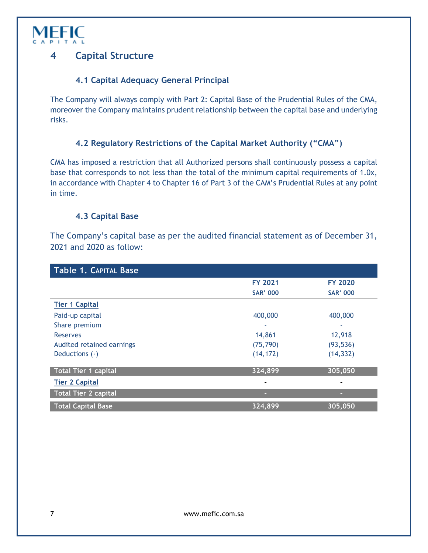

#### <span id="page-6-0"></span>**4 Capital Structure**

#### **4.1 Capital Adequacy General Principal**

<span id="page-6-1"></span>The Company will always comply with Part 2: Capital Base of the Prudential Rules of the CMA, moreover the Company maintains prudent relationship between the capital base and underlying risks.

#### **4.2 Regulatory Restrictions of the Capital Market Authority ("CMA")**

<span id="page-6-2"></span>CMA has imposed a restriction that all Authorized persons shall continuously possess a capital base that corresponds to not less than the total of the minimum capital requirements of 1.0x, in accordance with Chapter 4 to Chapter 16 of Part 3 of the CAM's Prudential Rules at any point in time.

#### **4.3 Capital Base**

<span id="page-6-3"></span>The Company's capital base as per the audited financial statement as of December 31, 2021 and 2020 as follow:

<span id="page-6-4"></span>

| <b>Table 1. CAPITAL Base</b> |                 |                      |  |  |  |  |  |
|------------------------------|-----------------|----------------------|--|--|--|--|--|
|                              | <b>FY 2021</b>  | <b>FY 2020</b>       |  |  |  |  |  |
|                              | <b>SAR' 000</b> | <b>SAR' 000</b>      |  |  |  |  |  |
| <b>Tier 1 Capital</b>        |                 |                      |  |  |  |  |  |
| Paid-up capital              | 400,000         | 400,000              |  |  |  |  |  |
| Share premium                | ٠               |                      |  |  |  |  |  |
| <b>Reserves</b>              | 14,861          | 12,918               |  |  |  |  |  |
| Audited retained earnings    | (75, 790)       | (93, 536)            |  |  |  |  |  |
| Deductions (-)               | (14, 172)       | (14, 332)            |  |  |  |  |  |
|                              |                 |                      |  |  |  |  |  |
| Total Tier 1 capital         | 324,899         | 305,050              |  |  |  |  |  |
| <b>Tier 2 Capital</b>        |                 | $\blacksquare$       |  |  |  |  |  |
| <b>Total Tier 2 capital</b>  |                 |                      |  |  |  |  |  |
| <b>Total Capital Base</b>    | 324,899         | $\overline{305,050}$ |  |  |  |  |  |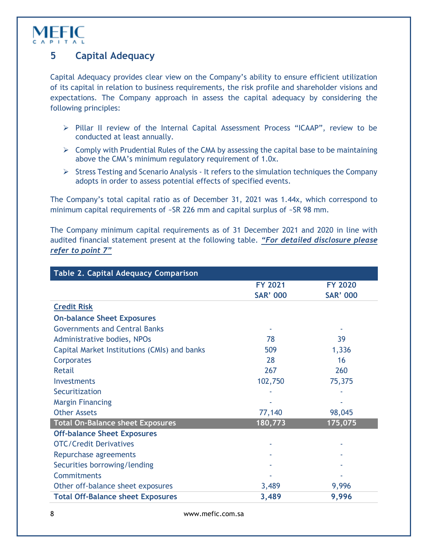

#### <span id="page-7-0"></span>**5 Capital Adequacy**

Capital Adequacy provides clear view on the Company's ability to ensure efficient utilization of its capital in relation to business requirements, the risk profile and shareholder visions and expectations. The Company approach in assess the capital adequacy by considering the following principles:

- Pillar II review of the Internal Capital Assessment Process "ICAAP", review to be conducted at least annually.
- $\triangleright$  Comply with Prudential Rules of the CMA by assessing the capital base to be maintaining above the CMA's minimum regulatory requirement of 1.0x.
- $\triangleright$  Stress Testing and Scenario Analysis It refers to the simulation techniques the Company adopts in order to assess potential effects of specified events.

The Company's total capital ratio as of December 31, 2021 was 1.44x, which correspond to minimum capital requirements of ~SR 226 mm and capital surplus of ~SR 98 mm.

The Company minimum capital requirements as of 31 December 2021 and 2020 in line with audited financial statement present at the following table. *"For detailed disclosure please refer to point 7"*

<span id="page-7-1"></span>

| <b>Table 2. Capital Adequacy Comparison</b>  |                 |                 |  |  |  |  |
|----------------------------------------------|-----------------|-----------------|--|--|--|--|
|                                              | <b>FY 2021</b>  | <b>FY 2020</b>  |  |  |  |  |
|                                              | <b>SAR' 000</b> | <b>SAR' 000</b> |  |  |  |  |
| <b>Credit Risk</b>                           |                 |                 |  |  |  |  |
| <b>On-balance Sheet Exposures</b>            |                 |                 |  |  |  |  |
| <b>Governments and Central Banks</b>         |                 |                 |  |  |  |  |
| Administrative bodies, NPOs                  | 78              | 39              |  |  |  |  |
| Capital Market Institutions (CMIs) and banks | 509             | 1,336           |  |  |  |  |
| Corporates                                   | 28              | 16              |  |  |  |  |
| <b>Retail</b>                                | 267             | 260             |  |  |  |  |
| Investments                                  | 102,750         | 75,375          |  |  |  |  |
| Securitization                               |                 |                 |  |  |  |  |
| <b>Margin Financing</b>                      |                 |                 |  |  |  |  |
| <b>Other Assets</b>                          | 77,140          | 98,045          |  |  |  |  |
| <b>Total On-Balance sheet Exposures</b>      | 180,773         | 175,075         |  |  |  |  |
| <b>Off-balance Sheet Exposures</b>           |                 |                 |  |  |  |  |
| <b>OTC/Credit Derivatives</b>                |                 |                 |  |  |  |  |
| Repurchase agreements                        |                 |                 |  |  |  |  |
| Securities borrowing/lending                 |                 |                 |  |  |  |  |
| Commitments                                  |                 |                 |  |  |  |  |
| Other off-balance sheet exposures            | 3,489           | 9,996           |  |  |  |  |
| <b>Total Off-Balance sheet Exposures</b>     | 3,489           | 9,996           |  |  |  |  |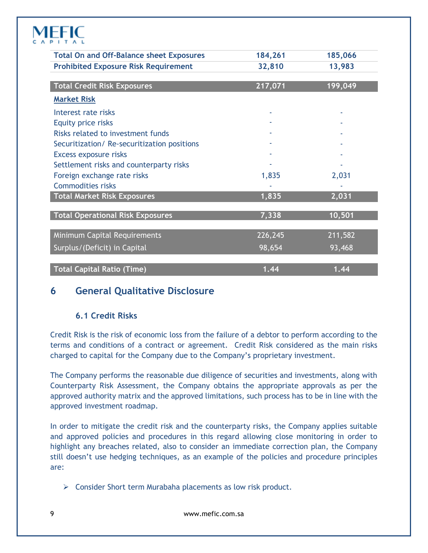| <b>Total On and Off-Balance sheet Exposures</b> | 184,261 | 185,066 |
|-------------------------------------------------|---------|---------|
| <b>Prohibited Exposure Risk Requirement</b>     | 32,810  | 13,983  |
|                                                 |         |         |
| <b>Total Credit Risk Exposures</b>              | 217,071 | 199,049 |
| <b>Market Risk</b>                              |         |         |
| Interest rate risks                             |         |         |
| Equity price risks                              |         |         |
| Risks related to investment funds               |         |         |
| Securitization/Re-securitization positions      |         |         |
| Excess exposure risks                           |         |         |
| Settlement risks and counterparty risks         |         |         |
| Foreign exchange rate risks                     | 1,835   | 2,031   |
| <b>Commodities risks</b>                        |         |         |
| <b>Total Market Risk Exposures</b>              | 1,835   | 2,031   |
| <b>Total Operational Risk Exposures</b>         | 7,338   | 10,501  |
| <b>Minimum Capital Requirements</b>             | 226,245 | 211,582 |
| Surplus/(Deficit) in Capital                    | 98,654  | 93,468  |
| <b>Total Capital Ratio (Time)</b>               | 1.44    | 1.44    |

#### <span id="page-8-0"></span>**6 General Qualitative Disclosure**

#### **6.1 Credit Risks**

<span id="page-8-1"></span>Credit Risk is the risk of economic loss from the failure of a debtor to perform according to the terms and conditions of a contract or agreement. Credit Risk considered as the main risks charged to capital for the Company due to the Company's proprietary investment.

The Company performs the reasonable due diligence of securities and investments, along with Counterparty Risk Assessment, the Company obtains the appropriate approvals as per the approved authority matrix and the approved limitations, such process has to be in line with the approved investment roadmap.

In order to mitigate the credit risk and the counterparty risks, the Company applies suitable and approved policies and procedures in this regard allowing close monitoring in order to highlight any breaches related, also to consider an immediate correction plan, the Company still doesn't use hedging techniques, as an example of the policies and procedure principles are:

 $\triangleright$  Consider Short term Murabaha placements as low risk product.

9 www.mefic.com.sa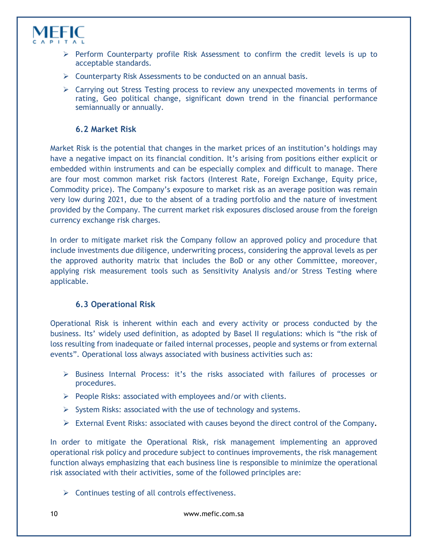

- $\triangleright$  Perform Counterparty profile Risk Assessment to confirm the credit levels is up to acceptable standards.
- $\triangleright$  Counterparty Risk Assessments to be conducted on an annual basis.
- $\triangleright$  Carrying out Stress Testing process to review any unexpected movements in terms of rating, Geo political change, significant down trend in the financial performance semiannually or annually.

#### **6.2 Market Risk**

<span id="page-9-0"></span>Market Risk is the potential that changes in the market prices of an institution's holdings may have a negative impact on its financial condition. It's arising from positions either explicit or embedded within instruments and can be especially complex and difficult to manage. There are four most common market risk factors (Interest Rate, Foreign Exchange, Equity price, Commodity price). The Company's exposure to market risk as an average position was remain very low during 2021, due to the absent of a trading portfolio and the nature of investment provided by the Company. The current market risk exposures disclosed arouse from the foreign currency exchange risk charges.

In order to mitigate market risk the Company follow an approved policy and procedure that include investments due diligence, underwriting process, considering the approval levels as per the approved authority matrix that includes the BoD or any other Committee, moreover, applying risk measurement tools such as Sensitivity Analysis and/or Stress Testing where applicable.

#### **6.3 Operational Risk**

<span id="page-9-1"></span>Operational Risk is inherent within each and every activity or process conducted by the business. Its' widely used definition, as adopted by Basel II regulations: which is "the risk of loss resulting from inadequate or failed internal processes, people and systems or from external events". Operational loss always associated with business activities such as:

- Business Internal Process: it's the risks associated with failures of processes or procedures.
- $\triangleright$  People Risks: associated with employees and/or with clients.
- $\triangleright$  System Risks: associated with the use of technology and systems.
- External Event Risks: associated with causes beyond the direct control of the Company*.*

In order to mitigate the Operational Risk, risk management implementing an approved operational risk policy and procedure subject to continues improvements, the risk management function always emphasizing that each business line is responsible to minimize the operational risk associated with their activities, some of the followed principles are:

 $\triangleright$  Continues testing of all controls effectiveness.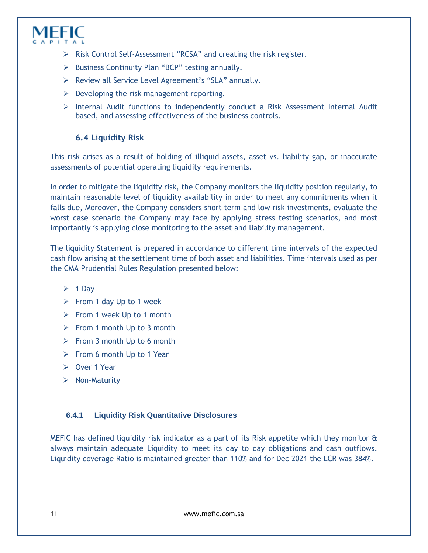

- $\triangleright$  Risk Control Self-Assessment "RCSA" and creating the risk register.
- $\triangleright$  Business Continuity Plan "BCP" testing annually.
- Review all Service Level Agreement's "SLA" annually.
- $\triangleright$  Developing the risk management reporting.
- <span id="page-10-0"></span> $\triangleright$  Internal Audit functions to independently conduct a Risk Assessment Internal Audit based, and assessing effectiveness of the business controls.

#### **6.4 Liquidity Risk**

This risk arises as a result of holding of illiquid assets, asset vs. liability gap, or inaccurate assessments of potential operating liquidity requirements.

In order to mitigate the liquidity risk, the Company monitors the liquidity position regularly, to maintain reasonable level of liquidity availability in order to meet any commitments when it falls due, Moreover, the Company considers short term and low risk investments, evaluate the worst case scenario the Company may face by applying stress testing scenarios, and most importantly is applying close monitoring to the asset and liability management.

The liquidity Statement is prepared in accordance to different time intervals of the expected cash flow arising at the settlement time of both asset and liabilities. Time intervals used as per the CMA Prudential Rules Regulation presented below:

- $\geq 1$  Day
- $\triangleright$  From 1 day Up to 1 week
- $\triangleright$  From 1 week Up to 1 month
- $\triangleright$  From 1 month Up to 3 month
- $\triangleright$  From 3 month Up to 6 month
- $\triangleright$  From 6 month Up to 1 Year
- Over 1 Year
- $\triangleright$  Non-Maturity

#### **6.4.1 Liquidity Risk Quantitative Disclosures**

MEFIC has defined liquidity risk indicator as a part of its Risk appetite which they monitor  $\hat{\alpha}$ always maintain adequate Liquidity to meet its day to day obligations and cash outflows. Liquidity coverage Ratio is maintained greater than 110% and for Dec 2021 the LCR was 384%.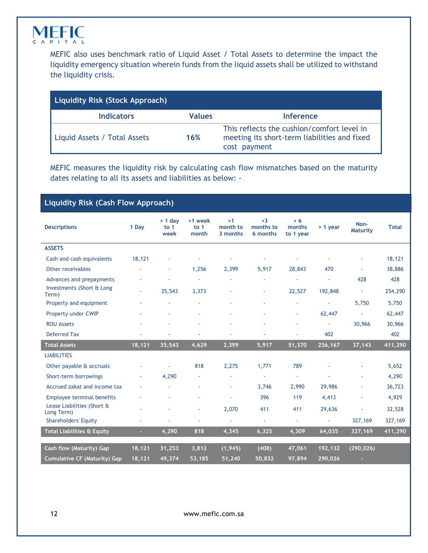

MEFIC also uses benchmark ratio of Liquid Asset / Total Assets to determine the impact the liquidity emergency situation wherein funds from the liquid assets shall be utilized to withstand the liquidity crisis.

| Liquidity Risk (Stock Approach) |               |                                                                                                            |  |  |  |  |  |
|---------------------------------|---------------|------------------------------------------------------------------------------------------------------------|--|--|--|--|--|
| <b>Indicators</b>               | <b>Values</b> | Inference                                                                                                  |  |  |  |  |  |
| Liquid Assets / Total Assets    | 16%           | This reflects the cushion/comfort level in<br>meeting its short-term liabilities and fixed<br>cost payment |  |  |  |  |  |

MEFIC measures the liquidity risk by calculating cash flow mismatches based on the maturity dates relating to all its assets and liabilities as below: -

#### **Liquidity Risk (Cash Flow Approach)**

| <b>Descriptions</b>                      | 1 Day  | $> 1$ day<br>to $1$<br>week | >1 week<br>to $1$<br>month | >1<br>month to<br>3 months | >3<br>months to<br>6 months | > 6<br>months<br>to 1 year | > 1 year                 | Non-<br><b>Maturity</b>  | <b>Total</b> |
|------------------------------------------|--------|-----------------------------|----------------------------|----------------------------|-----------------------------|----------------------------|--------------------------|--------------------------|--------------|
| <b>ASSETS</b>                            |        |                             |                            |                            |                             |                            |                          |                          |              |
| Cash and cash equivalents                | 18,121 |                             |                            |                            |                             |                            |                          | ÷.                       | 18,121       |
| Other receivables                        | ÷      | ٠                           | 1,256                      | 2,399                      | 5,917                       | 28,843                     | 470                      | $\overline{\phantom{a}}$ | 38,886       |
| Advances and prepayments                 |        |                             | ×,                         |                            |                             |                            | ä,                       | 428                      | 428          |
| Investments (Short & Long<br>Term)       | ×.     | 35,543                      | 3,373                      | ä,                         | ÷.                          | 22,527                     | 192,848                  | ×,                       | 254,290      |
| Property and equipment                   |        |                             |                            | ä,                         |                             | ×.                         | $\overline{\phantom{a}}$ | 5,750                    | 5,750        |
| Property under CWIP                      |        |                             |                            |                            |                             | ×.                         | 62,447                   | $\overline{\phantom{a}}$ | 62,447       |
| <b>ROU Assets</b>                        |        |                             |                            |                            |                             | ×.                         | ä,                       | 30,966                   | 30,966       |
| <b>Deferred Tax</b>                      |        |                             |                            |                            |                             |                            | 402                      |                          | 402          |
| <b>Total Assets</b>                      | 18,121 | 35,543                      | 4,629                      | 2,399                      | 5,917                       | 51,370                     | 256,167                  | 37,143                   | 411,290      |
| <b>LIABILITIES</b>                       |        |                             |                            |                            |                             |                            |                          |                          |              |
| Other payable & accruals                 |        | ÷                           | 818                        | 2,275                      | 1,771                       | 789                        |                          | ä,                       | 5,652        |
| Short-term borrowings                    | ٠      | 4,290                       |                            | ä,                         | $\omega$                    | $\overline{\phantom{a}}$   | ä,                       | ä,                       | 4,290        |
| Accrued zakat and income tax             | ٠      |                             |                            | ä,                         | 3,746                       | 2,990                      | 29,986                   |                          | 36,723       |
| <b>Employee terminal benefits</b>        |        |                             |                            |                            | 396                         | 119                        | 4,413                    | ä,                       | 4,929        |
| Lease Liabilities (Short &<br>Long Term) |        |                             | $\sim$                     | 2,070                      | 411                         | 411                        | 29,636                   | ä,                       | 32,528       |
| <b>Shareholders' Equity</b>              | ×,     | ä,                          | à,                         | $\blacksquare$             | $\blacksquare$              | $\overline{\phantom{a}}$   | $\omega$                 | 327,169                  | 327,169      |
| <b>Total Liabilities &amp; Equity</b>    | ٠      | 4,290                       | 818                        | 4,345                      | 6,325                       | 4,309                      | 64,035                   | 327,169                  | 411,290      |
| Cash flow (Maturity) Gap                 | 18,121 | 31,253                      | 3,812                      | (1, 945)                   | (408)                       | 47,061                     | 192,132                  | (290, 026)               |              |
|                                          |        |                             |                            |                            |                             |                            |                          |                          |              |
| <b>Cumulative CF (Maturity) Gap</b>      | 18,121 | 49,374                      | 53,185                     | 51,240                     | 50,832                      | 97,894                     | 290,026                  | ٠                        |              |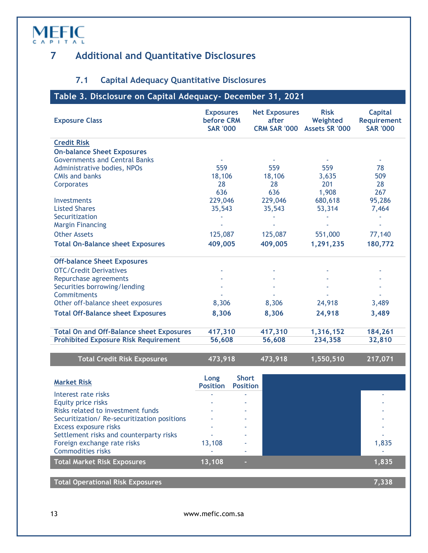#### <span id="page-12-0"></span>**7 Additional and Quantitative Disclosures**

#### **7.1 Capital Adequacy Quantitative Disclosures**

#### <span id="page-12-2"></span><span id="page-12-1"></span>**Table 3. Disclosure on Capital Adequacy- December 31, 2021**

| <b>Exposure Class</b>                           | <b>Exposures</b><br><b>before CRM</b><br><b>SAR '000</b> | <b>Net Exposures</b><br>after<br><b>CRM SAR '000</b> | <b>Risk</b><br>Weighted<br><b>Assets SR '000</b> | <b>Capital</b><br><b>Requirement</b><br><b>SAR '000</b> |
|-------------------------------------------------|----------------------------------------------------------|------------------------------------------------------|--------------------------------------------------|---------------------------------------------------------|
| <b>Credit Risk</b>                              |                                                          |                                                      |                                                  |                                                         |
| <b>On-balance Sheet Exposures</b>               |                                                          |                                                      |                                                  |                                                         |
| <b>Governments and Central Banks</b>            |                                                          |                                                      |                                                  |                                                         |
| Administrative bodies, NPOs                     | 559                                                      | 559                                                  | 559                                              | 78                                                      |
| <b>CMIs and banks</b>                           | 18,106                                                   | 18,106                                               | 3,635                                            | 509                                                     |
| Corporates                                      | 28                                                       | 28                                                   | 201                                              | 28                                                      |
|                                                 | 636                                                      | 636                                                  | 1,908                                            | 267                                                     |
| <b>Investments</b>                              | 229,046                                                  | 229,046                                              | 680,618                                          | 95,286                                                  |
| <b>Listed Shares</b>                            | 35,543                                                   | 35,543                                               | 53,314                                           | 7,464                                                   |
| Securitization                                  |                                                          |                                                      |                                                  |                                                         |
| <b>Margin Financing</b>                         |                                                          |                                                      |                                                  |                                                         |
| <b>Other Assets</b>                             | 125,087                                                  | 125,087                                              | 551,000                                          | 77,140                                                  |
| <b>Total On-Balance sheet Exposures</b>         | 409,005                                                  | 409,005                                              | 1,291,235                                        | 180,772                                                 |
| <b>Off-balance Sheet Exposures</b>              |                                                          |                                                      |                                                  |                                                         |
| <b>OTC/Credit Derivatives</b>                   |                                                          |                                                      |                                                  |                                                         |
| Repurchase agreements                           |                                                          |                                                      |                                                  |                                                         |
| Securities borrowing/lending                    |                                                          |                                                      |                                                  |                                                         |
| Commitments                                     |                                                          |                                                      |                                                  |                                                         |
| Other off-balance sheet exposures               | 8,306                                                    | 8,306                                                | 24,918                                           | 3,489                                                   |
| <b>Total Off-Balance sheet Exposures</b>        | 8,306                                                    | 8,306                                                | 24,918                                           | 3,489                                                   |
| <b>Total On and Off-Balance sheet Exposures</b> | 417,310                                                  | 417,310                                              | 1,316,152                                        | 184,261                                                 |
| <b>Prohibited Exposure Risk Requirement</b>     | 56,608                                                   | 56,608                                               | 234,358                                          | 32,810                                                  |
|                                                 |                                                          |                                                      |                                                  |                                                         |
| <b>Total Credit Risk Exposures</b>              | 473 918                                                  | 473 918                                              | 1 550 510                                        | 217 071                                                 |

| <b>TOtal Credit Risk Exposales</b> |                                  |              |  | $\blacksquare$ |  |
|------------------------------------|----------------------------------|--------------|--|----------------|--|
|                                    |                                  |              |  |                |  |
| <b>Market Risk</b>                 | Long<br><b>Position Position</b> | <b>Short</b> |  |                |  |
| Interest rate risks                |                                  | $\sim$       |  |                |  |
| Equity price risks                 |                                  |              |  |                |  |
|                                    |                                  |              |  |                |  |

| Risks related to investment funds          |        |  |        |
|--------------------------------------------|--------|--|--------|
| Securitization/Re-securitization positions |        |  |        |
| Excess exposure risks                      |        |  |        |
| Settlement risks and counterparty risks    |        |  | $\sim$ |
| Foreign exchange rate risks                | 13,108 |  | 1,835  |
| <b>Commodities risks</b>                   |        |  |        |
| <b>Total Market Risk Exposures</b>         | 13.108 |  | 1.835  |
|                                            |        |  |        |

**Total Operational Risk Exposures 7,338**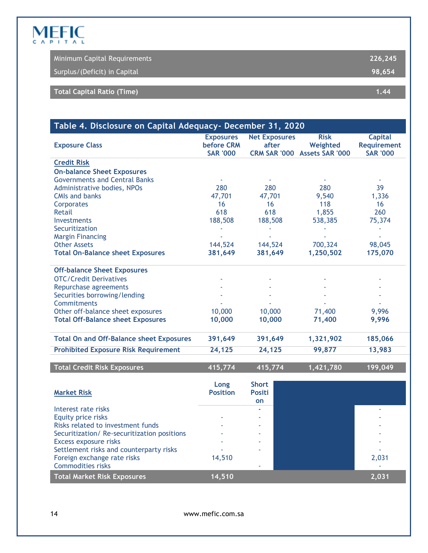|                              | Minimum Capital Requirements | 226.245 |
|------------------------------|------------------------------|---------|
| Surplus/(Deficit) in Capital |                              | 98.654  |
|                              |                              |         |
| Total Capital Ratio (Time)   |                              | 1.44    |

<span id="page-13-0"></span>

| Table 4. Disclosure on Capital Adequacy- December 31, 2020 |                                                   |                                                      |                                                   |                                                         |  |  |  |
|------------------------------------------------------------|---------------------------------------------------|------------------------------------------------------|---------------------------------------------------|---------------------------------------------------------|--|--|--|
| <b>Exposure Class</b>                                      | <b>Exposures</b><br>before CRM<br><b>SAR '000</b> | <b>Net Exposures</b><br>after<br><b>CRM SAR '000</b> | <b>Risk</b><br>Weighted<br><b>Assets SAR '000</b> | <b>Capital</b><br><b>Requirement</b><br><b>SAR '000</b> |  |  |  |
| <b>Credit Risk</b>                                         |                                                   |                                                      |                                                   |                                                         |  |  |  |
| <b>On-balance Sheet Exposures</b>                          |                                                   |                                                      |                                                   |                                                         |  |  |  |
| <b>Governments and Central Banks</b>                       |                                                   |                                                      |                                                   |                                                         |  |  |  |
| Administrative bodies, NPOs                                | 280                                               | 280                                                  | 280                                               | 39                                                      |  |  |  |
| <b>CMIs and banks</b>                                      | 47,701                                            | 47,701                                               | 9,540                                             | 1,336                                                   |  |  |  |
| Corporates                                                 | 16                                                | 16                                                   | 118                                               | 16                                                      |  |  |  |
| Retail                                                     | 618                                               | 618                                                  | 1,855                                             | 260                                                     |  |  |  |
| Investments                                                | 188,508                                           | 188,508                                              | 538,385                                           | 75,374                                                  |  |  |  |
| Securitization                                             |                                                   |                                                      |                                                   |                                                         |  |  |  |
| <b>Margin Financing</b>                                    |                                                   |                                                      |                                                   |                                                         |  |  |  |
| <b>Other Assets</b>                                        | 144,524                                           | 144,524                                              | 700,324                                           | 98,045                                                  |  |  |  |
| <b>Total On-Balance sheet Exposures</b>                    | 381,649                                           | 381,649                                              | 1,250,502                                         | 175,070                                                 |  |  |  |
| <b>Off-balance Sheet Exposures</b>                         |                                                   |                                                      |                                                   |                                                         |  |  |  |
| <b>OTC/Credit Derivatives</b>                              |                                                   |                                                      |                                                   |                                                         |  |  |  |
| Repurchase agreements                                      |                                                   |                                                      |                                                   |                                                         |  |  |  |
| Securities borrowing/lending                               |                                                   |                                                      |                                                   |                                                         |  |  |  |
| Commitments                                                |                                                   |                                                      |                                                   |                                                         |  |  |  |
| Other off-balance sheet exposures                          | 10,000                                            | 10,000                                               | 71,400                                            | 9,996                                                   |  |  |  |
| <b>Total Off-Balance sheet Exposures</b>                   | 10,000                                            | 10,000                                               | 71,400                                            | 9,996                                                   |  |  |  |
| <b>Total On and Off-Balance sheet Exposures</b>            | 391,649                                           | 391,649                                              | 1,321,902                                         | 185,066                                                 |  |  |  |
| <b>Prohibited Exposure Risk Requirement</b>                | 24,125                                            | 24,125                                               | 99,877                                            | 13,983                                                  |  |  |  |
| <b>Total Credit Risk Exposures</b>                         | 415,774                                           | 415,774                                              | 1,421,780                                         | $\overline{199,049}$                                    |  |  |  |

| <b>Market Risk</b>                         | Long<br><b>Position</b> | <b>Short</b><br><b>Positi</b><br><b>on</b> |       |
|--------------------------------------------|-------------------------|--------------------------------------------|-------|
| Interest rate risks                        |                         |                                            |       |
| Equity price risks                         |                         |                                            |       |
| Risks related to investment funds          |                         |                                            |       |
| Securitization/Re-securitization positions |                         |                                            |       |
| Excess exposure risks                      |                         |                                            |       |
| Settlement risks and counterparty risks    |                         |                                            |       |
| Foreign exchange rate risks                | 14,510                  |                                            | 2,031 |
| <b>Commodities risks</b>                   |                         |                                            |       |
| <b>Total Market Risk Exposures</b>         | 14,510                  |                                            | 2,031 |

14 www.mefic.com.sa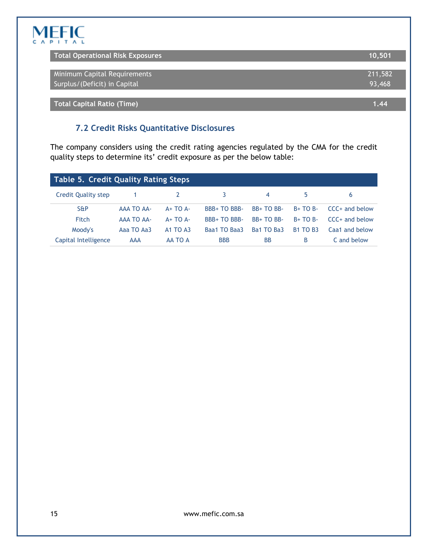| Total Operational Risk Exposures | 10.501  |
|----------------------------------|---------|
| Minimum Capital Requirements     | 211,582 |
| Surplus/(Deficit) in Capital     | 93,468  |
|                                  |         |

<span id="page-14-0"></span>**Total Capital Ratio (Time) 1.44**

#### **7.2 Credit Risks Quantitative Disclosures**

The company considers using the credit rating agencies regulated by the CMA for the credit quality steps to determine its' credit exposure as per the below table:

<span id="page-14-1"></span>

| Table 5. Credit Quality Rating Steps |                   |                 |                     |            |                 |                  |  |  |  |
|--------------------------------------|-------------------|-----------------|---------------------|------------|-----------------|------------------|--|--|--|
| Credit Quality step                  |                   |                 | 3.                  | 4          | 5               | 6                |  |  |  |
| <b>S&amp;P</b>                       | AAA TO AA-        | $A+TOA-$        | <b>BBB+ TO BBB-</b> | $BB+TOBB-$ | $B+TOB-$        | $CCC+$ and below |  |  |  |
| Fitch                                | <b>AAA TO AA-</b> | $A+TOA-$        | <b>BBB+TO BBB-</b>  | $BB+TOBB-$ | $B+TOB-$        | $CCC+$ and below |  |  |  |
| Moody's                              | Aaa TO Aa3        | <b>A1 TO A3</b> | Baa1 TO Baa3        | Ba1 TO Ba3 | <b>B1 TO B3</b> | Caa1 and below   |  |  |  |
| Capital Intelligence                 | <b>AAA</b>        | AA TO A         | <b>BBB</b>          | <b>BB</b>  | В               | C and below      |  |  |  |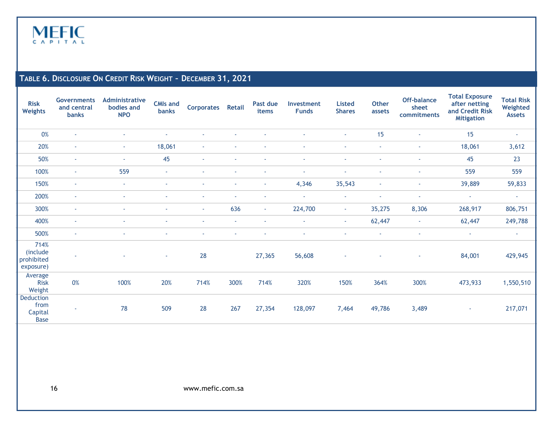

#### **TABLE 6. DISCLOSURE ON CREDIT RISK WEIGHT – DECEMBER 31, 2021**

<span id="page-15-0"></span>

| <b>Risk</b><br><b>Weights</b>               | <b>Governments</b><br>and central<br>banks | <b>Administrative</b><br>bodies and<br><b>NPO</b> | <b>CMIs and</b><br><b>banks</b> | <b>Corporates</b> | <b>Retail</b>  | Past due<br>items        | Investment<br><b>Funds</b> | <b>Listed</b><br><b>Shares</b> | <b>Other</b><br>assets | Off-balance<br>sheet<br>commitments | <b>Total Exposure</b><br>after netting<br>and Credit Risk<br><b>Mitigation</b> | <b>Total Risk</b><br>Weighted<br><b>Assets</b> |
|---------------------------------------------|--------------------------------------------|---------------------------------------------------|---------------------------------|-------------------|----------------|--------------------------|----------------------------|--------------------------------|------------------------|-------------------------------------|--------------------------------------------------------------------------------|------------------------------------------------|
| 0%                                          | ٠                                          |                                                   |                                 |                   |                |                          |                            | $\overline{\phantom{a}}$       | 15                     | $\sim$                              | 15                                                                             | $\overline{\phantom{a}}$                       |
| 20%                                         | $\sim$                                     | $\sim$                                            | 18,061                          | $\sim$            |                | ٠                        |                            | $\sim$                         | $\sim$                 | $\sim$                              | 18,061                                                                         | 3,612                                          |
| 50%                                         | $\sim$                                     | ٠                                                 | 45                              | $\sim$            | $\blacksquare$ | ٠                        |                            | ÷,                             | $\sim$                 | ٠                                   | 45                                                                             | 23                                             |
| 100%                                        | $\blacksquare$                             | 559                                               | ٠                               | $\sim$            | ٠              | ٠                        | ٠                          | $\overline{\phantom{a}}$       | ٠                      | $\sim$                              | 559                                                                            | 559                                            |
| 150%                                        | $\sim$                                     | $\blacksquare$                                    |                                 | ٠                 | $\blacksquare$ | $\sim$                   | 4,346                      | 35,543                         | $\sim$                 | $\sim$                              | 39,889                                                                         | 59,833                                         |
| 200%                                        | $\sim$                                     | ٠                                                 |                                 | ٠                 | ٠              | $\overline{\phantom{a}}$ |                            | $\overline{\phantom{a}}$       | ٠                      | $\overline{\phantom{a}}$            | $\sim$                                                                         | $\sim$                                         |
| 300%                                        | $\sim$                                     | ٠                                                 | ٠                               | $\sim$            | 636            | $\sim$                   | 224,700                    | $\sim$                         | 35,275                 | 8,306                               | 268,917                                                                        | 806,751                                        |
| 400%                                        | $\sim$                                     | ٠                                                 |                                 | $\sim$            | $\blacksquare$ | $\sim$                   | $\sim$                     | $\sim$                         | 62,447                 | $\sim$                              | 62,447                                                                         | 249,788                                        |
| 500%                                        | $\sim$                                     |                                                   |                                 |                   | $\blacksquare$ |                          |                            | ÷,                             | $\sim$                 | $\sim$                              | $\sim$                                                                         | $\sim$                                         |
| 714%<br>(include<br>prohibited<br>exposure) | $\sim$                                     |                                                   | ٠                               | 28                |                | 27,365                   | 56,608                     |                                |                        | $\sim$                              | 84,001                                                                         | 429,945                                        |
| Average<br><b>Risk</b><br>Weight            | 0%                                         | 100%                                              | 20%                             | 714%              | 300%           | 714%                     | 320%                       | 150%                           | 364%                   | 300%                                | 473,933                                                                        | 1,550,510                                      |
| Deduction<br>from<br>Capital<br><b>Base</b> | $\sim$                                     | 78                                                | 509                             | 28                | 267            | 27,354                   | 128,097                    | 7,464                          | 49,786                 | 3,489                               | ٠                                                                              | 217,071                                        |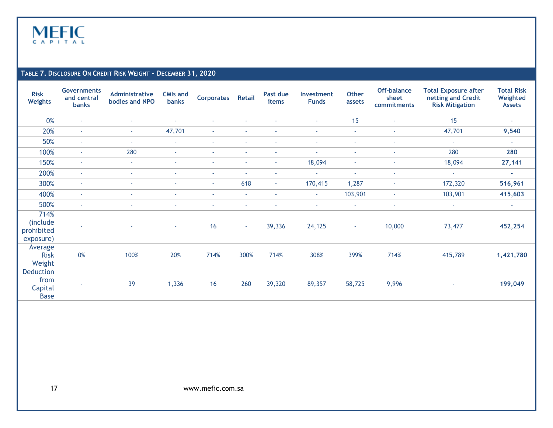

#### **TABLE 7. DISCLOSURE ON CREDIT RISK WEIGHT – DECEMBER 31, 2020**

<span id="page-16-0"></span>

| <b>Risk</b><br><b>Weights</b>               | <b>Governments</b><br>and central<br><b>banks</b> | Administrative<br>bodies and NPO | <b>CMIs and</b><br><b>banks</b> | <b>Corporates</b> | <b>Retail</b> | Past due<br>items | Investment<br><b>Funds</b> | <b>Other</b><br>assets | Off-balance<br>sheet<br>commitments | <b>Total Exposure after</b><br>netting and Credit<br><b>Risk Mitigation</b> | <b>Total Risk</b><br>Weighted<br><b>Assets</b> |
|---------------------------------------------|---------------------------------------------------|----------------------------------|---------------------------------|-------------------|---------------|-------------------|----------------------------|------------------------|-------------------------------------|-----------------------------------------------------------------------------|------------------------------------------------|
| 0%                                          | ٠                                                 | ٠                                |                                 |                   |               |                   | $\overline{\phantom{a}}$   | 15                     | $\overline{\phantom{a}}$            | 15                                                                          | $\sim$                                         |
| 20%                                         | $\sim$                                            | $\sim$                           | 47,701                          | ٠                 |               |                   | $\sim$                     | $\sim$                 | $\sim$                              | 47,701                                                                      | 9,540                                          |
| 50%                                         | $\sim$                                            | ٠                                | $\sim$                          | ٠                 |               |                   | $\sim$                     | $\sim$                 | $\blacksquare$                      | $\sim$                                                                      | a.                                             |
| 100%                                        | $\sim$                                            | 280                              | $\sim$                          |                   |               |                   | $\overline{\phantom{a}}$   | $\sim$                 | $\overline{\phantom{a}}$            | 280                                                                         | 280                                            |
| 150%                                        | $\sim$                                            | $\sim$                           |                                 | ٠                 |               |                   | 18,094                     | ٠                      | ÷                                   | 18,094                                                                      | 27,141                                         |
| 200%                                        | $\sim$                                            | $\blacksquare$                   |                                 | ٠                 | ٠             |                   | $\sim$                     | ÷                      | ÷                                   | $\sim$                                                                      | $\sim$                                         |
| 300%                                        | $\sim$                                            | $\blacksquare$                   |                                 | $\sim$            | 618           | $\sim$            | 170,415                    | 1,287                  | ÷                                   | 172,320                                                                     | 516,961                                        |
| 400%                                        | $\sim$                                            | $\blacksquare$                   |                                 | $\sim$            | $\sim$        | ٠                 | $\sim$                     | 103,901                | $\overline{\phantom{a}}$            | 103,901                                                                     | 415,603                                        |
| 500%                                        | $\sim$                                            | $\sim$                           |                                 | $\sim$            | $\sim$        |                   | ÷.                         | $\sim$                 | $\blacksquare$                      | $\sim$                                                                      | $\sim$                                         |
| 714%<br>(include<br>prohibited<br>exposure) | ٠                                                 |                                  | $\sim$                          | 16                | $\sim$        | 39,336            | 24,125                     | $\sim$                 | 10,000                              | 73,477                                                                      | 452,254                                        |
| Average<br><b>Risk</b><br>Weight            | 0%                                                | 100%                             | 20%                             | 714%              | 300%          | 714%              | 308%                       | 399%                   | 714%                                | 415,789                                                                     | 1,421,780                                      |
| Deduction<br>from<br>Capital<br><b>Base</b> | $\sim$                                            | 39                               | 1,336                           | 16                | 260           | 39,320            | 89,357                     | 58,725                 | 9,996                               |                                                                             | 199,049                                        |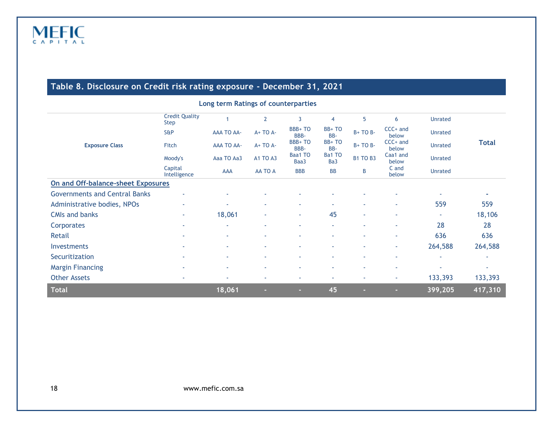#### **Table 8. Disclosure on Credit risk rating exposure - December 31, 2021**

<span id="page-17-0"></span>

| Long term Ratings of counterparties  |                                      |                   |                |                 |                |                 |                     |                |              |
|--------------------------------------|--------------------------------------|-------------------|----------------|-----------------|----------------|-----------------|---------------------|----------------|--------------|
|                                      | <b>Credit Quality</b><br><b>Step</b> |                   | $\overline{2}$ | 3               | $\overline{4}$ | 5               | 6                   | <b>Unrated</b> |              |
|                                      | S&P                                  | <b>AAA TO AA-</b> | A+ TO A-       | BBB+TO<br>BBB-  | BB+TO<br>BB-   | $B+TOB-$        | $CCC+$ and<br>below | <b>Unrated</b> |              |
| <b>Exposure Class</b>                | Fitch                                | <b>AAA TO AA-</b> | $A+TOA-$       | BBB+TO<br>BBB-  | BB+TO<br>BB-   | $B+TOB-$        | $CCC+$ and<br>below | Unrated        | <b>Total</b> |
|                                      | Moody's                              | Aaa TO Aa3        | A1 TO A3       | Baa1 TO<br>Baa3 | Ba1 TO<br>Ba3  | <b>B1 TO B3</b> | Caa1 and<br>below   | <b>Unrated</b> |              |
|                                      | Capital<br>Intelligence              | AAA               | AA TO A        | <b>BBB</b>      | <b>BB</b>      | B               | C and<br>below      | Unrated        |              |
| On and Off-balance-sheet Exposures   |                                      |                   |                |                 |                |                 |                     |                |              |
| <b>Governments and Central Banks</b> |                                      | ٠                 |                |                 |                |                 |                     |                | ×.           |
| Administrative bodies, NPOs          | ٠                                    |                   | ٠              | ٠               | ×.             | ٠               | ٠                   | 559            | 559          |
| <b>CMIs and banks</b>                | ٠                                    | 18,061            | ٠              | ۰.              | 45             | ٠               | ٠                   |                | 18,106       |
| Corporates                           | ÷                                    | ٠                 | ٠              | ٠               | ÷              | ٠               | ٠                   | 28             | 28           |
| Retail                               | ٠                                    | ٠                 | ٠              | ٠               | ×.             | ٠               | ٠                   | 636            | 636          |
| Investments                          | ٠                                    | ٠                 | ٠              | ٠               | ÷              | ٠               | ÷                   | 264,588        | 264,588      |
| Securitization                       | ٠                                    | ٠                 | ٠              | ٠               | ÷              | ٠               | ×.                  | ٠              | ۰            |
| <b>Margin Financing</b>              | ٠                                    | ٠                 | ٠              | ٠               | ٠              | ٠               | ٠                   |                | ÷            |
| <b>Other Assets</b>                  | ٠                                    |                   | ٠              | ٠               | ٠              | ٠               | ÷                   | 133,393        | 133,393      |
| <b>Total</b>                         |                                      | 18,061            | н              | ×.              | 45             | ш               | п                   | 399,205        | 417,310      |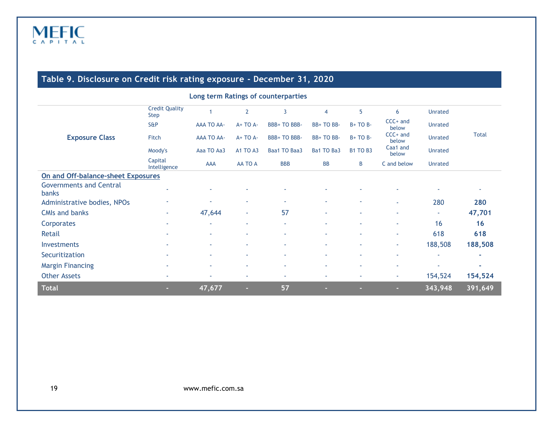<span id="page-18-0"></span>

| Long term Ratings of counterparties     |                                      |                   |                 |              |                |                 |                     |                |              |  |
|-----------------------------------------|--------------------------------------|-------------------|-----------------|--------------|----------------|-----------------|---------------------|----------------|--------------|--|
|                                         | <b>Credit Quality</b><br><b>Step</b> | 1                 | $\overline{2}$  | 3            | $\overline{4}$ | 5               | 6                   | <b>Unrated</b> |              |  |
|                                         | <b>S&amp;P</b>                       | <b>AAA TO AA-</b> | $A+TOA-$        | BBB+ TO BBB- | BB+TO BB-      | $B+TOB-$        | $CCC+$ and<br>below | <b>Unrated</b> |              |  |
| <b>Exposure Class</b>                   | Fitch                                | <b>AAA TO AA-</b> | A+ TO A-        | BBB+ TO BBB- | BB+TO BB-      | $B+TOB-$        | $CCC+$ and<br>below | <b>Unrated</b> | <b>Total</b> |  |
|                                         | Moody's                              | Aaa TO Aa3        | <b>A1 TO A3</b> | Baa1 TO Baa3 | Ba1 TO Ba3     | <b>B1 TO B3</b> | Caa1 and<br>below   | <b>Unrated</b> |              |  |
|                                         | Capital<br>Intelligence              | AAA               | AA TO A         | <b>BBB</b>   | <b>BB</b>      | B               | C and below         | <b>Unrated</b> |              |  |
| On and Off-balance-sheet Exposures      |                                      |                   |                 |              |                |                 |                     |                |              |  |
| <b>Governments and Central</b><br>banks | ж.                                   |                   | ٠               | ٠            | ٠              |                 | ٠                   |                |              |  |
| Administrative bodies, NPOs             |                                      |                   | ٠               | ٠            | ٠              | ٠               | $\sim$              | 280            | 280          |  |
| <b>CMIs and banks</b>                   | ٠                                    | 47,644            | ٠               | 57           | ٠              | ٠               | ٠                   | ×.             | 47,701       |  |
| Corporates                              |                                      | ÷                 | ٠               | ٠            | ÷              | ٠               | ٠                   | 16             | 16           |  |
| Retail                                  |                                      | ×.                | ٠               | ٠            | ٠              | ٠               | ٠                   | 618            | 618          |  |
| <b>Investments</b>                      |                                      |                   | ٠               | ٠            | ٠              | ٠               | ٠.                  | 188,508        | 188,508      |  |
| Securitization                          |                                      |                   | ٠               | $\sim$       | ٠              | ٠               | ٠                   | ٠              | ۰            |  |
| <b>Margin Financing</b>                 |                                      |                   | ٠               | $\sim$       | ٠              | ٠               | ٠                   | ٠              | ÷            |  |
| <b>Other Assets</b>                     | $\sim$                               |                   | ٠               | ٠            | ٠              | ٠               | ٠                   | 154,524        | 154,524      |  |
| <b>Total</b>                            | ×.                                   | 47,677            | ٠               | 57           |                |                 | ×.                  | 343,948        | 391,649      |  |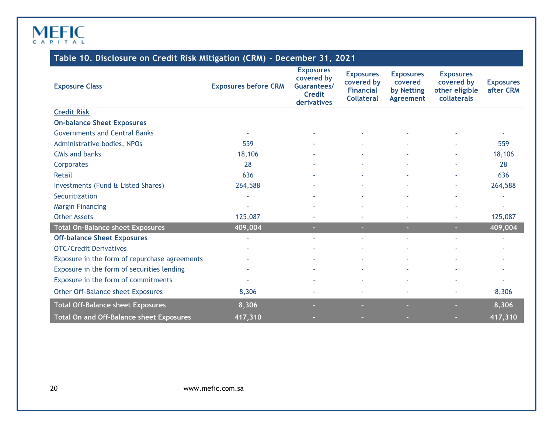#### **Table 10. Disclosure on Credit Risk Mitigation (CRM) - December 31, 2021**

<span id="page-19-0"></span>

| <b>Exposure Class</b>                         | <b>Exposures before CRM</b> | <b>Exposures</b><br>covered by<br><b>Guarantees/</b><br><b>Credit</b><br>derivatives | <b>Exposures</b><br>covered by<br><b>Financial</b><br><b>Collateral</b> | <b>Exposures</b><br>covered<br>by Netting<br><b>Agreement</b> | <b>Exposures</b><br>covered by<br>other eligible<br>collaterals | <b>Exposures</b><br>after CRM |
|-----------------------------------------------|-----------------------------|--------------------------------------------------------------------------------------|-------------------------------------------------------------------------|---------------------------------------------------------------|-----------------------------------------------------------------|-------------------------------|
| <b>Credit Risk</b>                            |                             |                                                                                      |                                                                         |                                                               |                                                                 |                               |
| <b>On-balance Sheet Exposures</b>             |                             |                                                                                      |                                                                         |                                                               |                                                                 |                               |
| <b>Governments and Central Banks</b>          |                             |                                                                                      |                                                                         |                                                               |                                                                 |                               |
| Administrative bodies, NPOs                   | 559                         |                                                                                      |                                                                         |                                                               |                                                                 | 559                           |
| <b>CMIs and banks</b>                         | 18,106                      |                                                                                      |                                                                         |                                                               |                                                                 | 18,106                        |
| Corporates                                    | 28                          |                                                                                      |                                                                         |                                                               |                                                                 | 28                            |
| <b>Retail</b>                                 | 636                         |                                                                                      |                                                                         |                                                               |                                                                 | 636                           |
| Investments (Fund & Listed Shares)            | 264,588                     |                                                                                      |                                                                         |                                                               |                                                                 | 264,588                       |
| Securitization                                | ä                           |                                                                                      |                                                                         |                                                               |                                                                 | ä                             |
| <b>Margin Financing</b>                       |                             |                                                                                      |                                                                         |                                                               |                                                                 |                               |
| <b>Other Assets</b>                           | 125,087                     |                                                                                      | ×.                                                                      |                                                               | $\sim$                                                          | 125,087                       |
| <b>Total On-Balance sheet Exposures</b>       | 409,004                     |                                                                                      | m.                                                                      | $\sim$                                                        | a.                                                              | 409,004                       |
| <b>Off-balance Sheet Exposures</b>            | $\sim$                      |                                                                                      | ×.                                                                      | $\sim$                                                        | ×.                                                              | ×.                            |
| <b>OTC/Credit Derivatives</b>                 |                             |                                                                                      |                                                                         |                                                               |                                                                 |                               |
| Exposure in the form of repurchase agreements |                             |                                                                                      | ٠                                                                       |                                                               |                                                                 | ٠                             |
| Exposure in the form of securities lending    |                             |                                                                                      |                                                                         |                                                               |                                                                 |                               |
| Exposure in the form of commitments           |                             |                                                                                      | ٠                                                                       |                                                               |                                                                 |                               |
| Other Off-Balance sheet Exposures             | 8,306                       |                                                                                      | ٠                                                                       |                                                               |                                                                 | 8,306                         |
| <b>Total Off-Balance sheet Exposures</b>      | 8,306                       |                                                                                      |                                                                         |                                                               |                                                                 | 8,306                         |
| Total On and Off-Balance sheet Exposures      | 417,310                     |                                                                                      |                                                                         |                                                               |                                                                 | 417,310                       |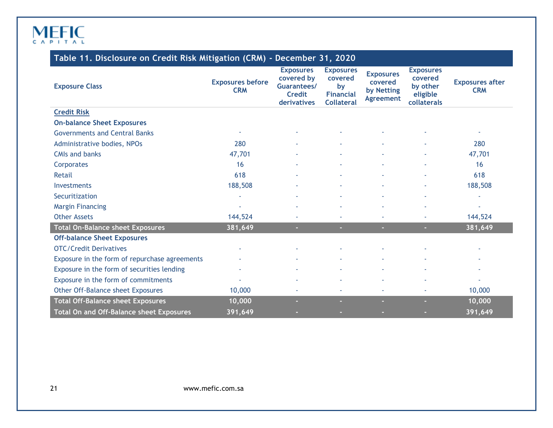| Table 11. Disclosure on Credit Risk Mitigation (CRM) - December 31, 2020 |  |  |
|--------------------------------------------------------------------------|--|--|
|                                                                          |  |  |

<span id="page-20-0"></span>

| <b>Exposure Class</b>                           | <b>Exposures before</b><br><b>CRM</b> | <b>Exposures</b><br>covered by<br>Guarantees/<br><b>Credit</b><br>derivatives | <b>Exposures</b><br>covered<br>by<br><b>Financial</b><br><b>Collateral</b> | <b>Exposures</b><br>covered<br>by Netting<br>Agreement | <b>Exposures</b><br>covered<br>by other<br>eligible<br>collaterals | <b>Exposures after</b><br><b>CRM</b> |
|-------------------------------------------------|---------------------------------------|-------------------------------------------------------------------------------|----------------------------------------------------------------------------|--------------------------------------------------------|--------------------------------------------------------------------|--------------------------------------|
| <b>Credit Risk</b>                              |                                       |                                                                               |                                                                            |                                                        |                                                                    |                                      |
| <b>On-balance Sheet Exposures</b>               |                                       |                                                                               |                                                                            |                                                        |                                                                    |                                      |
| <b>Governments and Central Banks</b>            | ٠                                     |                                                                               |                                                                            |                                                        |                                                                    |                                      |
| Administrative bodies, NPOs                     | 280                                   |                                                                               |                                                                            |                                                        |                                                                    | 280                                  |
| <b>CMIs and banks</b>                           | 47,701                                |                                                                               |                                                                            |                                                        |                                                                    | 47,701                               |
| Corporates                                      | 16                                    |                                                                               |                                                                            |                                                        |                                                                    | 16                                   |
| Retail                                          | 618                                   |                                                                               |                                                                            |                                                        |                                                                    | 618                                  |
| Investments                                     | 188,508                               |                                                                               |                                                                            |                                                        | ä,                                                                 | 188,508                              |
| Securitization                                  | $\sim$                                |                                                                               |                                                                            |                                                        | ٠                                                                  |                                      |
| <b>Margin Financing</b>                         | ×,                                    | ٠                                                                             |                                                                            |                                                        | ÷,                                                                 | ÷.                                   |
| <b>Other Assets</b>                             | 144,524                               |                                                                               |                                                                            |                                                        |                                                                    | 144,524                              |
| <b>Total On-Balance sheet Exposures</b>         | 381,649                               | ×.                                                                            | н                                                                          | $\sim$                                                 | ×.                                                                 | 381,649                              |
| <b>Off-balance Sheet Exposures</b>              |                                       |                                                                               |                                                                            |                                                        |                                                                    |                                      |
| <b>OTC/Credit Derivatives</b>                   |                                       |                                                                               |                                                                            |                                                        |                                                                    |                                      |
| Exposure in the form of repurchase agreements   |                                       |                                                                               |                                                                            |                                                        |                                                                    |                                      |
| Exposure in the form of securities lending      |                                       |                                                                               |                                                                            |                                                        |                                                                    |                                      |
| Exposure in the form of commitments             |                                       |                                                                               |                                                                            |                                                        |                                                                    |                                      |
| Other Off-Balance sheet Exposures               | 10,000                                | ٠                                                                             | ٠                                                                          | ÷                                                      | ä,                                                                 | 10,000                               |
| <b>Total Off-Balance sheet Exposures</b>        | 10,000                                | н                                                                             |                                                                            | $\sim$                                                 | ×.                                                                 | 10,000                               |
| <b>Total On and Off-Balance sheet Exposures</b> | 391,649                               |                                                                               |                                                                            | ×.                                                     | н                                                                  | 391,649                              |